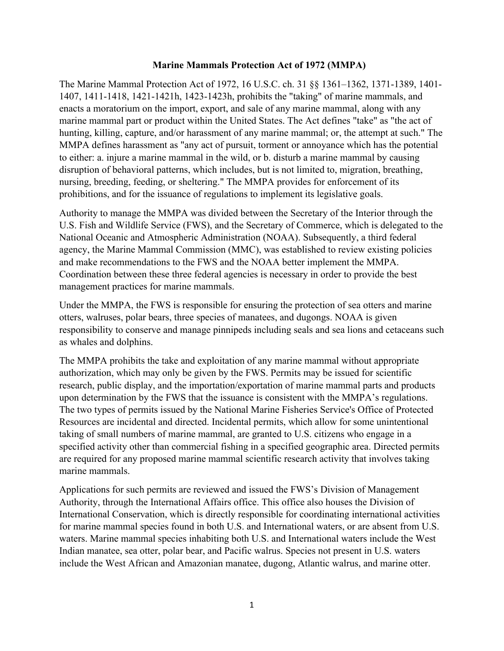## **Marine Mammals Protection Act of 1972 (MMPA)**

The Marine Mammal Protection Act of 1972, 16 U.S.C. ch. 31 §§ 1361–1362, 1371-1389, 1401- 1407, 1411-1418, 1421-1421h, 1423-1423h, prohibits the "taking" of marine mammals, and enacts a moratorium on the import, export, and sale of any marine mammal, along with any marine mammal part or product within the United States. The Act defines "take" as "the act of hunting, killing, capture, and/or harassment of any marine mammal; or, the attempt at such." The MMPA defines harassment as "any act of pursuit, torment or annoyance which has the potential to either: a. injure a marine mammal in the wild, or b. disturb a marine mammal by causing disruption of behavioral patterns, which includes, but is not limited to, migration, breathing, nursing, breeding, feeding, or sheltering." The MMPA provides for enforcement of its prohibitions, and for the issuance of regulations to implement its legislative goals.

Authority to manage the MMPA was divided between the Secretary of the Interior through the U.S. Fish and Wildlife Service (FWS), and the Secretary of Commerce, which is delegated to the National Oceanic and Atmospheric Administration (NOAA). Subsequently, a third federal agency, the Marine Mammal Commission (MMC), was established to review existing policies and make recommendations to the FWS and the NOAA better implement the MMPA. Coordination between these three federal agencies is necessary in order to provide the best management practices for marine mammals.

Under the MMPA, the FWS is responsible for ensuring the protection of sea otters and marine otters, walruses, polar bears, three species of manatees, and dugongs. NOAA is given responsibility to conserve and manage pinnipeds including seals and sea lions and cetaceans such as whales and dolphins.

The MMPA prohibits the take and exploitation of any marine mammal without appropriate authorization, which may only be given by the FWS. Permits may be issued for scientific research, public display, and the importation/exportation of marine mammal parts and products upon determination by the FWS that the issuance is consistent with the MMPA's regulations. The two types of permits issued by the National Marine Fisheries Service's Office of Protected Resources are incidental and directed. Incidental permits, which allow for some unintentional taking of small numbers of marine mammal, are granted to U.S. citizens who engage in a specified activity other than commercial fishing in a specified geographic area. Directed permits are required for any proposed marine mammal scientific research activity that involves taking marine mammals.

Applications for such permits are reviewed and issued the FWS's Division of Management Authority, through the International Affairs office. This office also houses the Division of International Conservation, which is directly responsible for coordinating international activities for marine mammal species found in both U.S. and International waters, or are absent from U.S. waters. Marine mammal species inhabiting both U.S. and International waters include the West Indian manatee, sea otter, polar bear, and Pacific walrus. Species not present in U.S. waters include the West African and Amazonian manatee, dugong, Atlantic walrus, and marine otter.